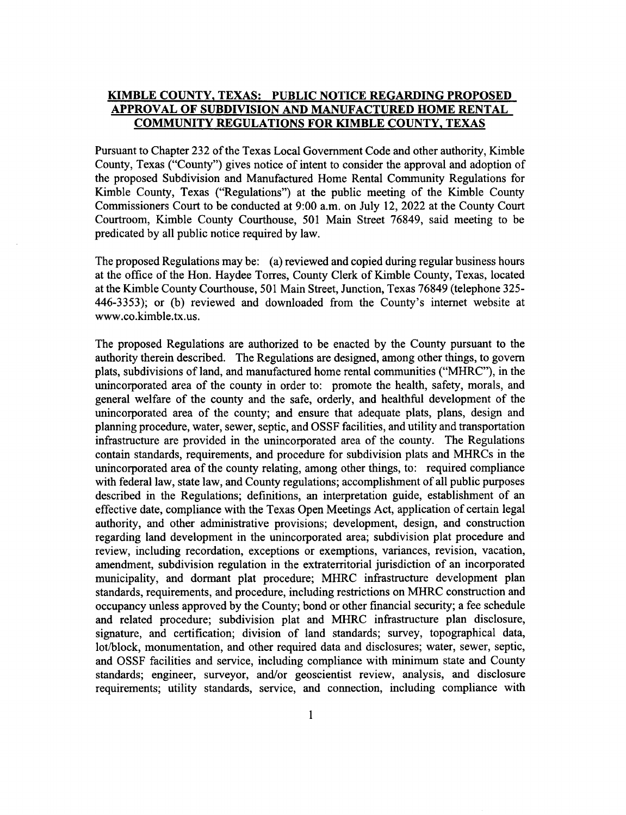## KIMBLE COUNTY. TEXAS: PUBLIC NOTICE REGARDING PROPOSED APPROVAL OF SUBDIVISION AND MANUFACTURED HOME RENTAL COMMUNITY REGULATIONS FOR KIMBLE COUNTY. TEXAS

Pursuant to Chapter 232 of the Texas Local Govemment Code and other authority, Kimble County, Texas ("County") gives notice of intent to consider the approval and adoption of the proposed Subdivision and Manufactured Home Rental Community Regulations for Kimble County, Texas ("Regulations") at the public meeting of the Kimble County Commissioners Court to be conducted at 9:00 a.m. on July 12,2022 at the County Court Courtroom, Kimble County Courthouse, 501 Main Street 76849, said meeting to be predicated by all public notice required by law.

The proposed Regulations may be: (a) reviewed and copied during regular business hours at the office of the Hon. Haydee Torres, County Clerk of Kimble County, Texas, located at the Kimble County Courthouse, 501 Main Street, Junction, Texas 76849 (telephone 325- 446-3353); or (b) reviewed and downloaded from the County's internet website at www.co.kimble.tx.us.

The proposed Regulations are authorized to be enacted by the County pursuant to the authority therein described. The Regulations are designed, among other things, to govern plats, subdivisions of land, and manufactured home rental communities ("MHRC"), in the unincorporated area of the county in order to: promote the health, safety, morals, and general welfare of the county and the safe, orderly, and healthful development of the unincorporated area of the county; and ensure that adequate plats, plans, design and planning procedure, water, sewer, septic, and OSSF facilities, and utility and transportation infrastructure are provided in the unincorporated area of the county. The Regulations contain standards, requirements, and procedure for subdivision plats and MHRCs in the unincorporated area of the county relating, among other things, to: required compliance with federal law, state law, and County regulations; accomplishment of all public purposes described in the Regulations; definitions, an interpretation guide, establishment of an effective date, compliance with the Texas Open Meetings Act, application of certain legal authority, and other administrative provisions; development, design, and construction regarding land development in the unincorporated area; subdivision plat procedure and review, including recordation, exceptions or exemptions, variances, revision, vacation, amendment, subdivision regulation in the extraterritorial jurisdiction of an incorporated municipality, and dormant plat procedure; MHRC infrastructure development plan standards, requirements, and procedure, including restrictions on MHRC construction and occupancy unless approved by the County; bond or other financial security; a fee schedule and related procedure; subdivision plat and MHRC infrastructure plan disclosure, signature, and certification; division of land standards; survey, topographical data, lot/block, monumentation, and other required data and disclosures; water, sewer, septic, and OSSF facilities and service, including compliance with minimum state and County standards; engineer, surveyor, and/or geoscientist review, analysis, and disclosure requirements; utility standards, service, and connection, including compliance with